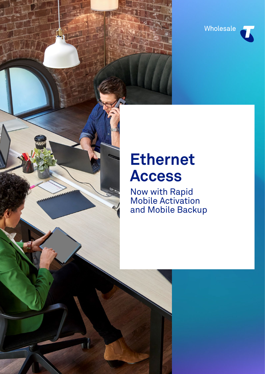

# **Ethernet Access**

 $\Box$ 

Now with Rapid Mobile Activation and Mobile Backup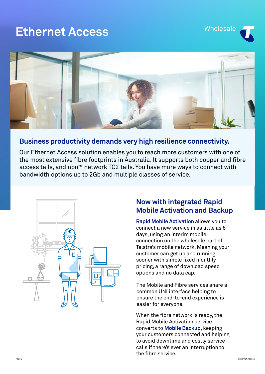## **Ethernet Access**





### **Business productivity demands very high resilience connectivity.**

Our Ethernet Access solution enables you to reach more customers with one of the most extensive fibre footprints in Australia. It supports both copper and fibre access tails, and nbn™ network TC2 tails. You have more ways to connect with bandwidth options up to 2Gb and multiple classes of service.



### **Now with integrated Rapid Mobile Activation and Backup**

**Rapid Mobile Activation** allows you to connect a new service in as little as 8 days, using an interim mobile connection on the wholesale part of Telstra's mobile network. Meaning your customer can get up and running sooner with simple fixed monthly pricing, a range of download speed options and no data cap.

The Mobile and Fibre services share a common UNI interface helping to ensure the end-to-end experience is easier for everyone.

When the fibre network is ready, the Rapid Mobile Activation service converts to **Mobile Backup**, keeping your customers connected and helping to avoid downtime and costly service calls if there's ever an interruption to the fibre service.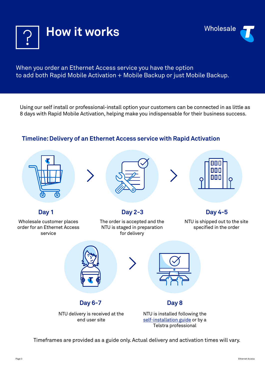



#### When you order an Ethernet Access service you have the option to add both Rapid Mobile Activation + Mobile Backup or just Mobile Backup.

Using our self install or professional-install option your customers can be connected in as little as 8 days with Rapid Mobile Activation, helping make you indispensable for their business success.

#### **Timeline: Delivery of an Ethernet Access service with Rapid Activation**







Wholesale customer places order for an Ethernet Access service

The order is accepted and the NTU is staged in preparation for delivery

#### **Day 1 Day 2-3 Day 4-5**

NTU is shipped out to the site specified in the order



end user site

NTU is installed following the [self-installation guide](https://connect.telstrawholesale.com/ea-rapid) or by a Telstra professional

Timeframes are provided as a guide only. Actual delivery and activation times will vary.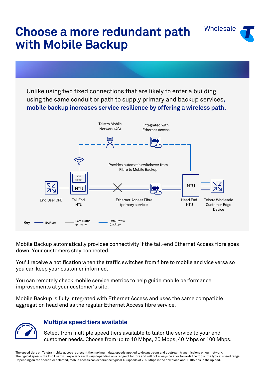# **Choose a more redundant path with Mobile Backup**

Unlike using two fixed connections that are likely to enter a building using the same conduit or path to supply primary and backup services**, mobile backup increases service resilience by offering a wireless path.** 

Wholesale



Mobile Backup automatically provides connectivity if the tail-end Ethernet Access fibre goes down. Your customers stay connected.

You'll receive a notification when the traffic switches from fibre to mobile and vice versa so you can keep your customer informed.

You can remotely check mobile service metrics to help guide mobile performance improvements at your customer's site.

Mobile Backup is fully integrated with Ethernet Access and uses the same compatible aggregation head end as the regular Ethernet Access fibre service.



#### **Multiple speed tiers available**

Select from multiple speed tiers available to tailor the service to your end customer needs. Choose from up to 10 Mbps, 20 Mbps, 40 Mbps or 100 Mbps.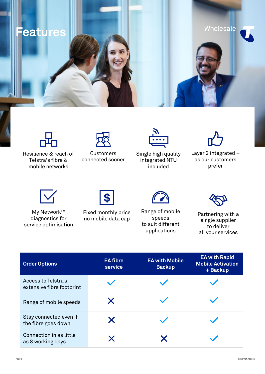**Features**



Resilience & reach of Telstra's fibre & mobile networks



Customers connected sooner



Single high quality integrated NTU included



Wholesale

Layer 2 integrated – as our customers prefer



My Network™ diagnostics for service optimisation



Fixed monthly price Fixed monthly price Range of mobile<br>no mobile data cap speeds speeds single supplier



Range of mobile speeds to suit different applications



single supplier to deliver all your services

| <b>Order Options</b>                                    | <b>EA fibre</b><br>service | <b>EA with Mobile</b><br><b>Backup</b> | <b>EA with Rapid</b><br><b>Mobile Activation</b><br>+ Backup |
|---------------------------------------------------------|----------------------------|----------------------------------------|--------------------------------------------------------------|
| <b>Access to Telstra's</b><br>extensive fibre footprint |                            |                                        |                                                              |
| Range of mobile speeds                                  | X                          |                                        |                                                              |
| Stay connected even if<br>the fibre goes down           | X                          |                                        |                                                              |
| Connection in as little<br>as 8 working days            | X                          |                                        |                                                              |